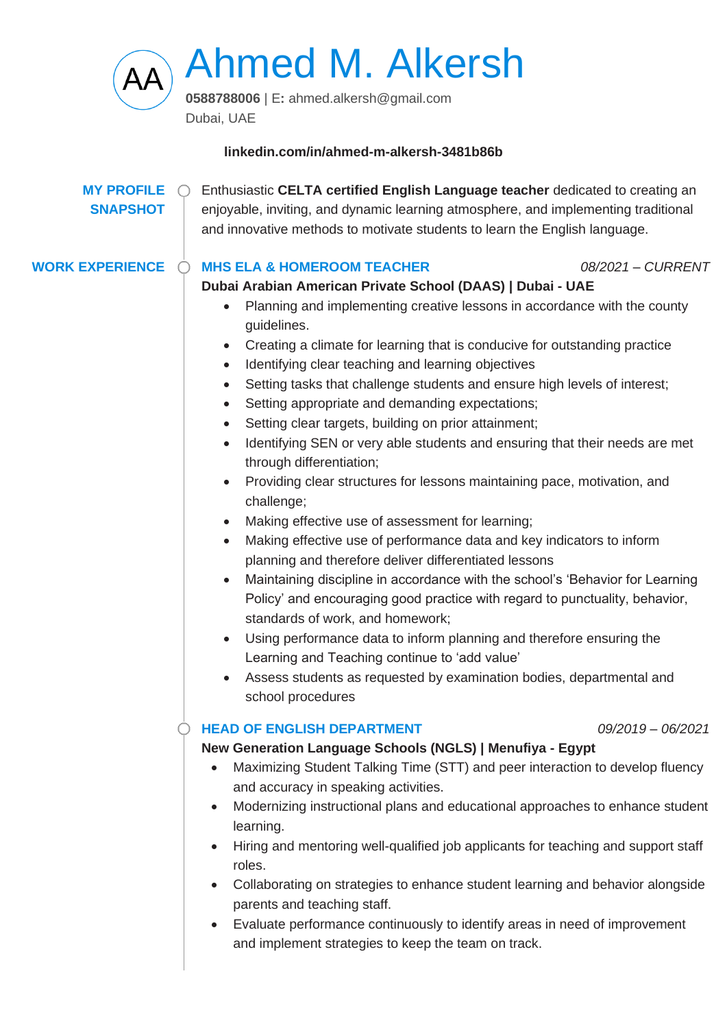

Ahmed M. Alkersh

**0588788006** | E**:** ahmed.alkersh@gmail.com Dubai, UAE

### **linkedin.com/in/ahmed-m-alkersh-3481b86b**

# **MY PROFILE SNAPSHOT**

Enthusiastic **CELTA certified English Language teacher** dedicated to creating an enjoyable, inviting, and dynamic learning atmosphere, and implementing traditional and innovative methods to motivate students to learn the English language.

### **WORK EXPERIENCE MHS ELA & HOMEROOM TEACHER** *08/2021 – CURRENT*

# **Dubai Arabian American Private School (DAAS) | Dubai - UAE**

- Planning and implementing creative lessons in accordance with the county guidelines.
- Creating a climate for learning that is conducive for outstanding practice
- Identifying clear teaching and learning objectives
- Setting tasks that challenge students and ensure high levels of interest;
- Setting appropriate and demanding expectations;
- Setting clear targets, building on prior attainment;
- Identifying SEN or very able students and ensuring that their needs are met through differentiation;
- Providing clear structures for lessons maintaining pace, motivation, and challenge;
- Making effective use of assessment for learning;
- Making effective use of performance data and key indicators to inform planning and therefore deliver differentiated lessons
- Maintaining discipline in accordance with the school's 'Behavior for Learning Policy' and encouraging good practice with regard to punctuality, behavior, standards of work, and homework;
- Using performance data to inform planning and therefore ensuring the Learning and Teaching continue to 'add value'
- Assess students as requested by examination bodies, departmental and school procedures

## **HEAD OF ENGLISH DEPARTMENT** *09/2019 – 06/2021*

# **New Generation Language Schools (NGLS) | Menufiya - Egypt**

- Maximizing Student Talking Time (STT) and peer interaction to develop fluency and accuracy in speaking activities.
- Modernizing instructional plans and educational approaches to enhance student learning.
- Hiring and mentoring well-qualified job applicants for teaching and support staff roles.
- Collaborating on strategies to enhance student learning and behavior alongside parents and teaching staff.
- Evaluate performance continuously to identify areas in need of improvement and implement strategies to keep the team on track.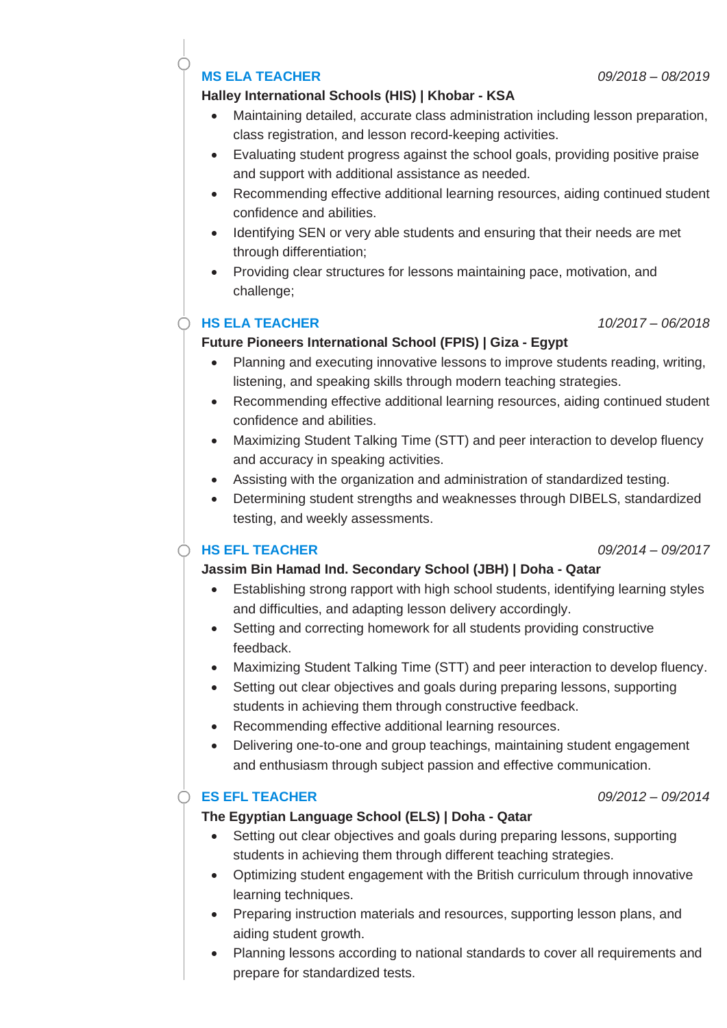# **MS ELA TEACHER** *09/2018 – 08/2019*

### **Halley International Schools (HIS) | Khobar - KSA**

- Maintaining detailed, accurate class administration including lesson preparation, class registration, and lesson record-keeping activities.
- Evaluating student progress against the school goals, providing positive praise and support with additional assistance as needed.
- Recommending effective additional learning resources, aiding continued student confidence and abilities.
- Identifying SEN or very able students and ensuring that their needs are met through differentiation;
- Providing clear structures for lessons maintaining pace, motivation, and challenge;

## **HS ELA TEACHER** *10/2017 – 06/2018*

## **Future Pioneers International School (FPIS) | Giza - Egypt**

- Planning and executing innovative lessons to improve students reading, writing, listening, and speaking skills through modern teaching strategies.
- Recommending effective additional learning resources, aiding continued student confidence and abilities.
- Maximizing Student Talking Time (STT) and peer interaction to develop fluency and accuracy in speaking activities.
- Assisting with the organization and administration of standardized testing.
- Determining student strengths and weaknesses through DIBELS, standardized testing, and weekly assessments.

## **HS EFL TEACHER** *09/2014 – 09/2017*

## **Jassim Bin Hamad Ind. Secondary School (JBH) | Doha - Qatar**

- Establishing strong rapport with high school students, identifying learning styles and difficulties, and adapting lesson delivery accordingly.
- Setting and correcting homework for all students providing constructive feedback.
- Maximizing Student Talking Time (STT) and peer interaction to develop fluency.
- Setting out clear objectives and goals during preparing lessons, supporting students in achieving them through constructive feedback.
- Recommending effective additional learning resources.
- Delivering one-to-one and group teachings, maintaining student engagement and enthusiasm through subject passion and effective communication.

### **ES EFL TEACHER** *09/2012 – 09/2014*

### **The Egyptian Language School (ELS) | Doha - Qatar**

- Setting out clear objectives and goals during preparing lessons, supporting students in achieving them through different teaching strategies.
- Optimizing student engagement with the British curriculum through innovative learning techniques.
- Preparing instruction materials and resources, supporting lesson plans, and aiding student growth.
- Planning lessons according to national standards to cover all requirements and prepare for standardized tests.